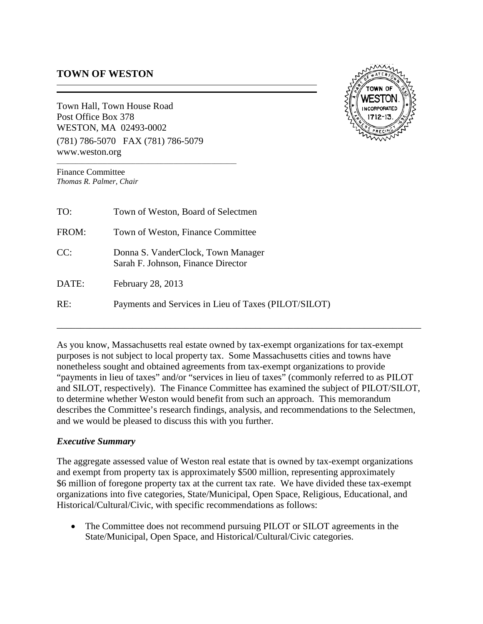## **TOWN OF WESTON**

Town Hall, Town House Road Post Office Box 378 WESTON, MA 02493-0002 (781) 786-5070FAX (781) 786-5079 www.weston.org

*\_\_\_\_\_\_\_\_\_\_\_\_\_\_\_\_\_\_\_\_\_\_\_\_\_\_\_\_\_\_\_\_\_\_\_\_\_\_\_\_\_\_\_\_\_\_\_\_\_\_\_\_\_\_\_\_\_*



Finance Committee *Thomas R. Palmer, Chair*

| TO:   | Town of Weston, Board of Selectmen                                       |
|-------|--------------------------------------------------------------------------|
| FROM: | Town of Weston, Finance Committee                                        |
| CC:   | Donna S. VanderClock, Town Manager<br>Sarah F. Johnson, Finance Director |
| DATE: | February 28, 2013                                                        |
| RE:   | Payments and Services in Lieu of Taxes (PILOT/SILOT)                     |

As you know, Massachusetts real estate owned by tax-exempt organizations for tax-exempt purposes is not subject to local property tax. Some Massachusetts cities and towns have nonetheless sought and obtained agreements from tax-exempt organizations to provide "payments in lieu of taxes" and/or "services in lieu of taxes" (commonly referred to as PILOT and SILOT, respectively). The Finance Committee has examined the subject of PILOT/SILOT, to determine whether Weston would benefit from such an approach. This memorandum describes the Committee's research findings, analysis, and recommendations to the Selectmen, and we would be pleased to discuss this with you further.

#### *Executive Summary*

The aggregate assessed value of Weston real estate that is owned by tax-exempt organizations and exempt from property tax is approximately \$500 million, representing approximately \$6 million of foregone property tax at the current tax rate. We have divided these tax-exempt organizations into five categories, State/Municipal, Open Space, Religious, Educational, and Historical/Cultural/Civic, with specific recommendations as follows:

• The Committee does not recommend pursuing PILOT or SILOT agreements in the State/Municipal, Open Space, and Historical/Cultural/Civic categories.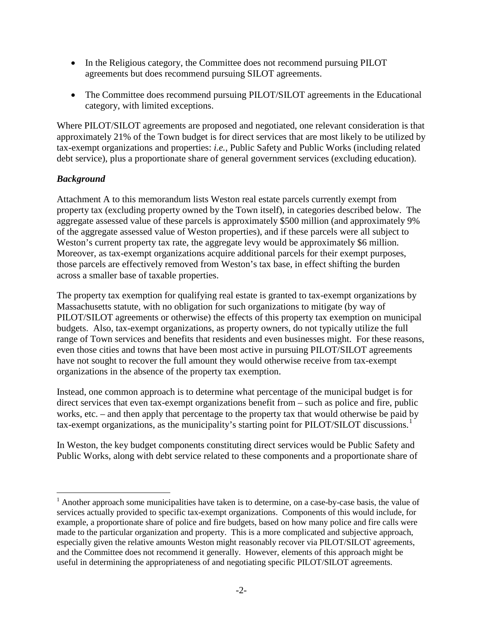- In the Religious category, the Committee does not recommend pursuing PILOT agreements but does recommend pursuing SILOT agreements.
- The Committee does recommend pursuing PILOT/SILOT agreements in the Educational category, with limited exceptions.

Where PILOT/SILOT agreements are proposed and negotiated, one relevant consideration is that approximately 21% of the Town budget is for direct services that are most likely to be utilized by tax-exempt organizations and properties: *i.e.*, Public Safety and Public Works (including related debt service), plus a proportionate share of general government services (excluding education).

## *Background*

Attachment A to this memorandum lists Weston real estate parcels currently exempt from property tax (excluding property owned by the Town itself), in categories described below. The aggregate assessed value of these parcels is approximately \$500 million (and approximately 9% of the aggregate assessed value of Weston properties), and if these parcels were all subject to Weston's current property tax rate, the aggregate levy would be approximately \$6 million. Moreover, as tax-exempt organizations acquire additional parcels for their exempt purposes, those parcels are effectively removed from Weston's tax base, in effect shifting the burden across a smaller base of taxable properties.

The property tax exemption for qualifying real estate is granted to tax-exempt organizations by Massachusetts statute, with no obligation for such organizations to mitigate (by way of PILOT/SILOT agreements or otherwise) the effects of this property tax exemption on municipal budgets. Also, tax-exempt organizations, as property owners, do not typically utilize the full range of Town services and benefits that residents and even businesses might. For these reasons, even those cities and towns that have been most active in pursuing PILOT/SILOT agreements have not sought to recover the full amount they would otherwise receive from tax-exempt organizations in the absence of the property tax exemption.

Instead, one common approach is to determine what percentage of the municipal budget is for direct services that even tax-exempt organizations benefit from – such as police and fire, public works, etc. – and then apply that percentage to the property tax that would otherwise be paid by tax-exempt organizations, as the municipality's starting point for PILOT/SILOT discussions.<sup>[1](#page-1-0)</sup>

In Weston, the key budget components constituting direct services would be Public Safety and Public Works, along with debt service related to these components and a proportionate share of

<span id="page-1-0"></span><sup>&</sup>lt;sup>1</sup> Another approach some municipalities have taken is to determine, on a case-by-case basis, the value of services actually provided to specific tax-exempt organizations. Components of this would include, for example, a proportionate share of police and fire budgets, based on how many police and fire calls were made to the particular organization and property. This is a more complicated and subjective approach, especially given the relative amounts Weston might reasonably recover via PILOT/SILOT agreements, and the Committee does not recommend it generally. However, elements of this approach might be useful in determining the appropriateness of and negotiating specific PILOT/SILOT agreements.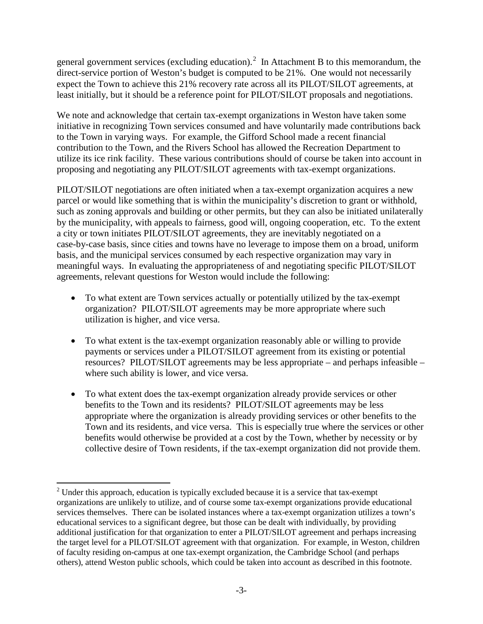general government services (excluding education).<sup>[2](#page-2-0)</sup> In Attachment B to this memorandum, the direct-service portion of Weston's budget is computed to be 21%. One would not necessarily expect the Town to achieve this 21% recovery rate across all its PILOT/SILOT agreements, at least initially, but it should be a reference point for PILOT/SILOT proposals and negotiations.

We note and acknowledge that certain tax-exempt organizations in Weston have taken some initiative in recognizing Town services consumed and have voluntarily made contributions back to the Town in varying ways. For example, the Gifford School made a recent financial contribution to the Town, and the Rivers School has allowed the Recreation Department to utilize its ice rink facility. These various contributions should of course be taken into account in proposing and negotiating any PILOT/SILOT agreements with tax-exempt organizations.

PILOT/SILOT negotiations are often initiated when a tax-exempt organization acquires a new parcel or would like something that is within the municipality's discretion to grant or withhold, such as zoning approvals and building or other permits, but they can also be initiated unilaterally by the municipality, with appeals to fairness, good will, ongoing cooperation, etc. To the extent a city or town initiates PILOT/SILOT agreements, they are inevitably negotiated on a case-by-case basis, since cities and towns have no leverage to impose them on a broad, uniform basis, and the municipal services consumed by each respective organization may vary in meaningful ways. In evaluating the appropriateness of and negotiating specific PILOT/SILOT agreements, relevant questions for Weston would include the following:

- To what extent are Town services actually or potentially utilized by the tax-exempt organization? PILOT/SILOT agreements may be more appropriate where such utilization is higher, and vice versa.
- To what extent is the tax-exempt organization reasonably able or willing to provide payments or services under a PILOT/SILOT agreement from its existing or potential resources? PILOT/SILOT agreements may be less appropriate – and perhaps infeasible – where such ability is lower, and vice versa.
- To what extent does the tax-exempt organization already provide services or other benefits to the Town and its residents? PILOT/SILOT agreements may be less appropriate where the organization is already providing services or other benefits to the Town and its residents, and vice versa. This is especially true where the services or other benefits would otherwise be provided at a cost by the Town, whether by necessity or by collective desire of Town residents, if the tax-exempt organization did not provide them.

<span id="page-2-0"></span> $2^2$  Under this approach, education is typically excluded because it is a service that tax-exempt organizations are unlikely to utilize, and of course some tax-exempt organizations provide educational services themselves. There can be isolated instances where a tax-exempt organization utilizes a town's educational services to a significant degree, but those can be dealt with individually, by providing additional justification for that organization to enter a PILOT/SILOT agreement and perhaps increasing the target level for a PILOT/SILOT agreement with that organization. For example, in Weston, children of faculty residing on-campus at one tax-exempt organization, the Cambridge School (and perhaps others), attend Weston public schools, which could be taken into account as described in this footnote.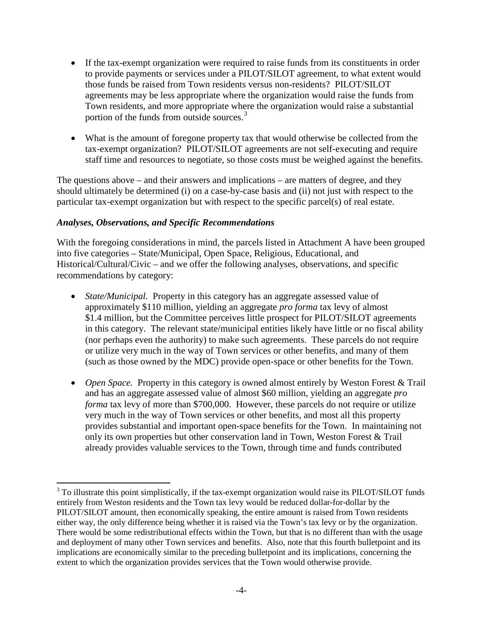- If the tax-exempt organization were required to raise funds from its constituents in order to provide payments or services under a PILOT/SILOT agreement, to what extent would those funds be raised from Town residents versus non-residents? PILOT/SILOT agreements may be less appropriate where the organization would raise the funds from Town residents, and more appropriate where the organization would raise a substantial portion of the funds from outside sources.<sup>[3](#page-3-0)</sup>
- What is the amount of foregone property tax that would otherwise be collected from the tax-exempt organization? PILOT/SILOT agreements are not self-executing and require staff time and resources to negotiate, so those costs must be weighed against the benefits.

The questions above – and their answers and implications – are matters of degree, and they should ultimately be determined (i) on a case-by-case basis and (ii) not just with respect to the particular tax-exempt organization but with respect to the specific parcel(s) of real estate.

### *Analyses, Observations, and Specific Recommendations*

With the foregoing considerations in mind, the parcels listed in Attachment A have been grouped into five categories – State/Municipal, Open Space, Religious, Educational, and Historical/Cultural/Civic – and we offer the following analyses, observations, and specific recommendations by category:

- *State/Municipal.* Property in this category has an aggregate assessed value of approximately \$110 million, yielding an aggregate *pro forma* tax levy of almost \$1.4 million, but the Committee perceives little prospect for PILOT/SILOT agreements in this category. The relevant state/municipal entities likely have little or no fiscal ability (nor perhaps even the authority) to make such agreements. These parcels do not require or utilize very much in the way of Town services or other benefits, and many of them (such as those owned by the MDC) provide open-space or other benefits for the Town.
- *Open Space.* Property in this category is owned almost entirely by Weston Forest & Trail and has an aggregate assessed value of almost \$60 million, yielding an aggregate *pro forma* tax levy of more than \$700,000. However, these parcels do not require or utilize very much in the way of Town services or other benefits, and most all this property provides substantial and important open-space benefits for the Town. In maintaining not only its own properties but other conservation land in Town, Weston Forest & Trail already provides valuable services to the Town, through time and funds contributed

<span id="page-3-0"></span><sup>&</sup>lt;sup>3</sup> To illustrate this point simplistically, if the tax-exempt organization would raise its PILOT/SILOT funds entirely from Weston residents and the Town tax levy would be reduced dollar-for-dollar by the PILOT/SILOT amount, then economically speaking, the entire amount is raised from Town residents either way, the only difference being whether it is raised via the Town's tax levy or by the organization. There would be some redistributional effects within the Town, but that is no different than with the usage and deployment of many other Town services and benefits. Also, note that this fourth bulletpoint and its implications are economically similar to the preceding bulletpoint and its implications, concerning the extent to which the organization provides services that the Town would otherwise provide.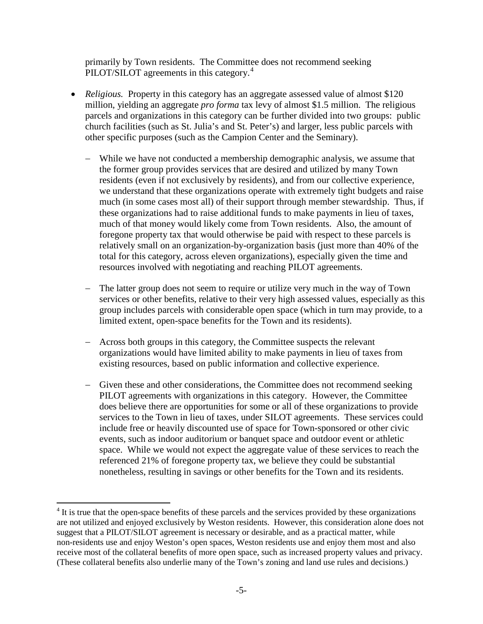primarily by Town residents. The Committee does not recommend seeking PILOT/SILOT agreements in this category.<sup>[4](#page-4-0)</sup>

- *Religious.* Property in this category has an aggregate assessed value of almost \$120 million, yielding an aggregate *pro forma* tax levy of almost \$1.5 million. The religious parcels and organizations in this category can be further divided into two groups: public church facilities (such as St. Julia's and St. Peter's) and larger, less public parcels with other specific purposes (such as the Campion Center and the Seminary).
	- − While we have not conducted a membership demographic analysis, we assume that the former group provides services that are desired and utilized by many Town residents (even if not exclusively by residents), and from our collective experience, we understand that these organizations operate with extremely tight budgets and raise much (in some cases most all) of their support through member stewardship. Thus, if these organizations had to raise additional funds to make payments in lieu of taxes, much of that money would likely come from Town residents. Also, the amount of foregone property tax that would otherwise be paid with respect to these parcels is relatively small on an organization-by-organization basis (just more than 40% of the total for this category, across eleven organizations), especially given the time and resources involved with negotiating and reaching PILOT agreements.
	- − The latter group does not seem to require or utilize very much in the way of Town services or other benefits, relative to their very high assessed values, especially as this group includes parcels with considerable open space (which in turn may provide, to a limited extent, open-space benefits for the Town and its residents).
	- − Across both groups in this category, the Committee suspects the relevant organizations would have limited ability to make payments in lieu of taxes from existing resources, based on public information and collective experience.
	- − Given these and other considerations, the Committee does not recommend seeking PILOT agreements with organizations in this category. However, the Committee does believe there are opportunities for some or all of these organizations to provide services to the Town in lieu of taxes, under SILOT agreements. These services could include free or heavily discounted use of space for Town-sponsored or other civic events, such as indoor auditorium or banquet space and outdoor event or athletic space. While we would not expect the aggregate value of these services to reach the referenced 21% of foregone property tax, we believe they could be substantial nonetheless, resulting in savings or other benefits for the Town and its residents.

<span id="page-4-0"></span><sup>&</sup>lt;sup>4</sup> It is true that the open-space benefits of these parcels and the services provided by these organizations are not utilized and enjoyed exclusively by Weston residents. However, this consideration alone does not suggest that a PILOT/SILOT agreement is necessary or desirable, and as a practical matter, while non-residents use and enjoy Weston's open spaces, Weston residents use and enjoy them most and also receive most of the collateral benefits of more open space, such as increased property values and privacy. (These collateral benefits also underlie many of the Town's zoning and land use rules and decisions.)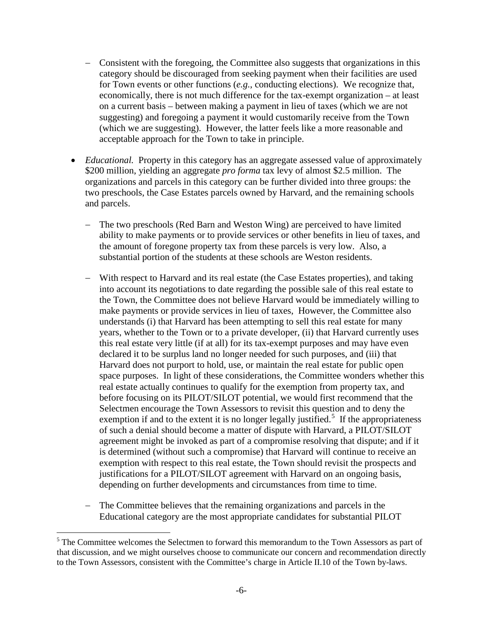- − Consistent with the foregoing, the Committee also suggests that organizations in this category should be discouraged from seeking payment when their facilities are used for Town events or other functions (*e.g.*, conducting elections). We recognize that, economically, there is not much difference for the tax-exempt organization – at least on a current basis – between making a payment in lieu of taxes (which we are not suggesting) and foregoing a payment it would customarily receive from the Town (which we are suggesting). However, the latter feels like a more reasonable and acceptable approach for the Town to take in principle.
- *Educational.* Property in this category has an aggregate assessed value of approximately \$200 million, yielding an aggregate *pro forma* tax levy of almost \$2.5 million. The organizations and parcels in this category can be further divided into three groups: the two preschools, the Case Estates parcels owned by Harvard, and the remaining schools and parcels.
	- The two preschools (Red Barn and Weston Wing) are perceived to have limited ability to make payments or to provide services or other benefits in lieu of taxes, and the amount of foregone property tax from these parcels is very low. Also, a substantial portion of the students at these schools are Weston residents.
	- − With respect to Harvard and its real estate (the Case Estates properties), and taking into account its negotiations to date regarding the possible sale of this real estate to the Town, the Committee does not believe Harvard would be immediately willing to make payments or provide services in lieu of taxes, However, the Committee also understands (i) that Harvard has been attempting to sell this real estate for many years, whether to the Town or to a private developer, (ii) that Harvard currently uses this real estate very little (if at all) for its tax-exempt purposes and may have even declared it to be surplus land no longer needed for such purposes, and (iii) that Harvard does not purport to hold, use, or maintain the real estate for public open space purposes. In light of these considerations, the Committee wonders whether this real estate actually continues to qualify for the exemption from property tax, and before focusing on its PILOT/SILOT potential, we would first recommend that the Selectmen encourage the Town Assessors to revisit this question and to deny the exemption if and to the extent it is no longer legally justified.<sup>[5](#page-5-0)</sup> If the appropriateness of such a denial should become a matter of dispute with Harvard, a PILOT/SILOT agreement might be invoked as part of a compromise resolving that dispute; and if it is determined (without such a compromise) that Harvard will continue to receive an exemption with respect to this real estate, the Town should revisit the prospects and justifications for a PILOT/SILOT agreement with Harvard on an ongoing basis, depending on further developments and circumstances from time to time.
	- − The Committee believes that the remaining organizations and parcels in the Educational category are the most appropriate candidates for substantial PILOT

<span id="page-5-0"></span><sup>&</sup>lt;sup>5</sup> The Committee welcomes the Selectmen to forward this memorandum to the Town Assessors as part of that discussion, and we might ourselves choose to communicate our concern and recommendation directly to the Town Assessors, consistent with the Committee's charge in Article II.10 of the Town by-laws.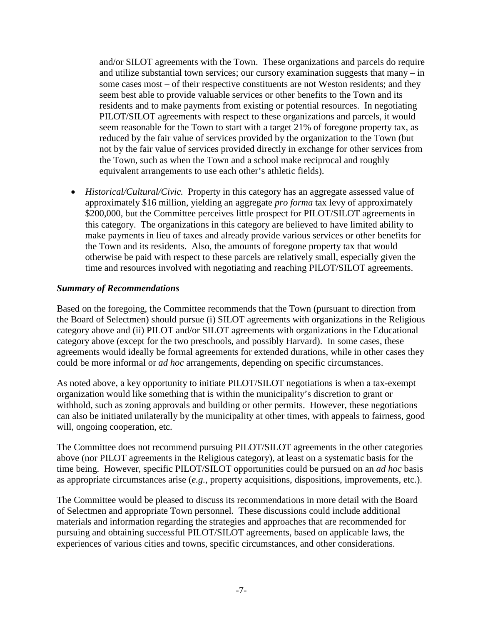and/or SILOT agreements with the Town. These organizations and parcels do require and utilize substantial town services; our cursory examination suggests that many – in some cases most – of their respective constituents are not Weston residents; and they seem best able to provide valuable services or other benefits to the Town and its residents and to make payments from existing or potential resources. In negotiating PILOT/SILOT agreements with respect to these organizations and parcels, it would seem reasonable for the Town to start with a target 21% of foregone property tax, as reduced by the fair value of services provided by the organization to the Town (but not by the fair value of services provided directly in exchange for other services from the Town, such as when the Town and a school make reciprocal and roughly equivalent arrangements to use each other's athletic fields).

• *Historical/Cultural/Civic.* Property in this category has an aggregate assessed value of approximately \$16 million, yielding an aggregate *pro forma* tax levy of approximately \$200,000, but the Committee perceives little prospect for PILOT/SILOT agreements in this category. The organizations in this category are believed to have limited ability to make payments in lieu of taxes and already provide various services or other benefits for the Town and its residents. Also, the amounts of foregone property tax that would otherwise be paid with respect to these parcels are relatively small, especially given the time and resources involved with negotiating and reaching PILOT/SILOT agreements.

### *Summary of Recommendations*

Based on the foregoing, the Committee recommends that the Town (pursuant to direction from the Board of Selectmen) should pursue (i) SILOT agreements with organizations in the Religious category above and (ii) PILOT and/or SILOT agreements with organizations in the Educational category above (except for the two preschools, and possibly Harvard). In some cases, these agreements would ideally be formal agreements for extended durations, while in other cases they could be more informal or *ad hoc* arrangements, depending on specific circumstances.

As noted above, a key opportunity to initiate PILOT/SILOT negotiations is when a tax-exempt organization would like something that is within the municipality's discretion to grant or withhold, such as zoning approvals and building or other permits. However, these negotiations can also be initiated unilaterally by the municipality at other times, with appeals to fairness, good will, ongoing cooperation, etc.

The Committee does not recommend pursuing PILOT/SILOT agreements in the other categories above (nor PILOT agreements in the Religious category), at least on a systematic basis for the time being. However, specific PILOT/SILOT opportunities could be pursued on an *ad hoc* basis as appropriate circumstances arise (*e.g.*, property acquisitions, dispositions, improvements, etc.).

The Committee would be pleased to discuss its recommendations in more detail with the Board of Selectmen and appropriate Town personnel. These discussions could include additional materials and information regarding the strategies and approaches that are recommended for pursuing and obtaining successful PILOT/SILOT agreements, based on applicable laws, the experiences of various cities and towns, specific circumstances, and other considerations.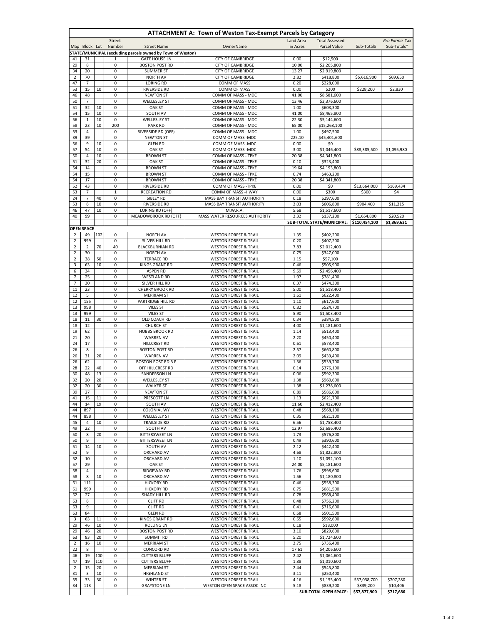| <b>ATTACHMENT A: Town of Weston Tax-Exempt Parcels by Category</b> |                       |          |                  |                                                             |                                                                      |                       |                                           |                              |                              |
|--------------------------------------------------------------------|-----------------------|----------|------------------|-------------------------------------------------------------|----------------------------------------------------------------------|-----------------------|-------------------------------------------|------------------------------|------------------------------|
|                                                                    | Map Block Lot         |          | Street<br>Number | <b>Street Name</b>                                          | OwnerName                                                            | Land Area<br>in Acres | <b>Total Assessed</b><br>Parcel Value     | Sub-TotalS                   | Pro Forma Tax<br>Sub-Totals* |
|                                                                    |                       |          |                  | STATE/MUNICIPAL (excluding parcels owned by Town of Weston) |                                                                      |                       |                                           |                              |                              |
| 41                                                                 | 31                    |          | 1                | <b>GATE HOUSE LN</b>                                        | <b>CITY OF CAMBRIDGE</b>                                             | 0.00                  | \$12,500                                  |                              |                              |
| 29                                                                 | 8                     |          | 0                | <b>BOSTON POST RD</b>                                       | <b>CITY OF CAMBRIDGE</b>                                             | 10.00                 | \$2,265,800                               |                              |                              |
| 34                                                                 | 20                    |          | 0                | <b>SUMMER ST</b>                                            | <b>CITY OF CAMBRIDGE</b><br><b>CITY OF CAMBRIDGE</b>                 | 13.27                 | \$2,919,800<br>\$418,800                  | \$5,616,900                  |                              |
| 2<br>47                                                            | 70<br>$\overline{7}$  |          | 0<br>0           | <b>NORTH AV</b><br><b>LORING RD</b>                         | COMM OF MASS                                                         | 2.82<br>0.20          | \$228,000                                 |                              | \$69,650                     |
| 53                                                                 | 15                    | 10       | 0                | <b>RIVERSIDE RD</b>                                         | COMM OF MASS                                                         | 0.00                  | \$200                                     | \$228,200                    | \$2,830                      |
| 46                                                                 | 48                    |          | 0                | <b>NEWTON ST</b>                                            | COMM OF MASS - MDC                                                   | 41.00                 | \$8,581,600                               |                              |                              |
| 50                                                                 | 7                     |          | 0                | <b>WELLESLEY ST</b>                                         | COMM OF MASS - MDC                                                   | 13.46                 | \$3,376,600                               |                              |                              |
| 51<br>54                                                           | 32<br>15              | 10<br>10 | 0<br>0           | OAK ST<br>SOUTH AV                                          | COMM OF MASS - MDC<br>COMM OF MASS - MDC                             | 1.00<br>41.00         | \$603,300<br>\$8,465,800                  |                              |                              |
| 56                                                                 | $\mathbf{1}$          | 10       | 0                | <b>WELLESLEY ST</b>                                         | COMM OF MASS - MDC                                                   | 22.30                 | \$5,144,600                               |                              |                              |
| 58                                                                 | 23                    | 10       | 200              | <b>PARK RD</b>                                              | COMM OF MASS - MDC                                                   | 65.00                 | \$15,268,100                              |                              |                              |
| 53                                                                 | $\overline{4}$        |          | 0                | RIVERSIDE RD (OFF)                                          | COMM OF MASS - MDC                                                   | 1.00                  | \$497,500                                 |                              |                              |
| 39                                                                 | 39                    |          | 0                | <b>NEWTON ST</b>                                            | COMM OF MASS -MDC                                                    | 225.10                | \$45,401,600                              |                              |                              |
| 56<br>57                                                           | 9<br>54               | 10<br>10 | 0<br>0           | <b>GLEN RD</b><br><b>OAK ST</b>                             | COMM OF MASS -MDC<br>COMM OF MASS - MDC                              | 0.00<br>3.00          | \$0<br>\$1,046,400                        | \$88,385,500                 | \$1,095,980                  |
| 50                                                                 | $\overline{4}$        | 10       | 0                | <b>BROWN ST</b>                                             | COMM OF MASS - TPKE                                                  | 20.38                 | \$4,341,800                               |                              |                              |
| 51                                                                 | 32                    | 20       | 0                | <b>OAK ST</b>                                               | COMM OF MASS - TPKE                                                  | 0.10                  | \$323,400                                 |                              |                              |
| 54                                                                 | 14                    |          | 0                | <b>BROWN ST</b>                                             | COMM OF MASS - TPKE                                                  | 19.64                 | \$4,193,800                               |                              |                              |
| 54                                                                 | 15                    |          | 0                | <b>BROWN ST</b>                                             | COMM OF MASS - TPKE                                                  | 0.74                  | \$463,200                                 |                              |                              |
| 54<br>52                                                           | 17<br>43              |          | 0<br>0           | <b>BROWN ST</b><br><b>RIVERSIDE RD</b>                      | COMM OF MASS - TPKE<br>COMM OF MASS -TPKE                            | 20.38<br>0.00         | \$4,341,800<br>\$0                        | \$13,664,000                 | \$169,434                    |
| 53                                                                 | $\overline{7}$        |          | $\mathbf{1}$     | <b>RECREATION RD</b>                                        | COMM OF MASS -HWAY                                                   | 0.00                  | \$300                                     | \$300                        | \$4                          |
| 24                                                                 | 7                     | 40       | 0                | SIBLEY RD                                                   | MASS BAY TRANSIT AUTHORITY                                           | 0.18                  | \$297,600                                 |                              |                              |
| 53                                                                 | 8                     | 10       | 0                | <b>RIVERSIDE RD</b>                                         | MASS BAY TRANSIT AUTHORITY                                           | 2.03                  | \$606,800                                 | \$904,400                    | \$11,215                     |
| 46<br>40                                                           | 47<br>99              | 10       | 0                | LORING RD (OFF)                                             | M.W.R.A.                                                             | 5.68                  | \$1,517,600                               |                              |                              |
|                                                                    |                       |          | 0                | MEADOWBROOK RD (OFF)                                        | MASS WATER RESOURCES AUTHORITY                                       | 2.32                  | \$137,200<br>SUB-TOTAL STATE/MUNICIPAL:   | \$1,654,800<br>\$110,454,100 | \$20,520<br>\$1.369.631      |
|                                                                    | <b>OPEN SPACE</b>     |          |                  |                                                             |                                                                      |                       |                                           |                              |                              |
| 2                                                                  | 49                    | 102      | 0                | <b>NORTH AV</b>                                             | <b>WESTON FOREST &amp; TRAIL</b>                                     | 1.35                  | \$402,200                                 |                              |                              |
| $\overline{2}$                                                     | 999                   |          | 0                | SILVER HILL RD                                              | <b>WESTON FOREST &amp; TRAIL</b>                                     | 0.20                  | \$407,200                                 |                              |                              |
| $\overline{2}$<br>$\overline{2}$                                   | $\overline{2}$<br>30  | 70       | 40<br>0          | <b>BLACKBURNIAN RD</b><br><b>NORTH AV</b>                   | <b>WESTON FOREST &amp; TRAIL</b><br><b>WESTON FOREST &amp; TRAIL</b> | 7.83<br>0.75          | \$2,012,400<br>\$347,000                  |                              |                              |
| $\overline{2}$                                                     | 38                    | 50       | 0                | <b>TERRACE RD</b>                                           | <b>WESTON FOREST &amp; TRAIL</b>                                     | 1.15                  | \$57,100                                  |                              |                              |
| 3                                                                  | 63                    | 10       | 0                | <b>KINGS GRANT RD</b>                                       | <b>WESTON FOREST &amp; TRAIL</b>                                     | 0.46                  | \$505,900                                 |                              |                              |
| 6                                                                  | 34                    |          | 0                | <b>ASPEN RD</b>                                             | <b>WESTON FOREST &amp; TRAIL</b>                                     | 9.69                  | \$2,456,400                               |                              |                              |
| $\overline{7}$                                                     | 25                    |          | 0                | <b>WESTLAND RD</b>                                          | <b>WESTON FOREST &amp; TRAIL</b>                                     | 1.97                  | \$781,400                                 |                              |                              |
| 7<br>11                                                            | 30<br>23              |          | 0<br>0           | SILVER HILL RD<br><b>CHERRY BROOK RD</b>                    | <b>WESTON FOREST &amp; TRAIL</b><br><b>WESTON FOREST &amp; TRAIL</b> | 0.37<br>5.00          | \$474,300<br>\$1,518,400                  |                              |                              |
| 12                                                                 | 5                     |          | 0                | <b>MERRIAM ST</b>                                           | <b>WESTON FOREST &amp; TRAIL</b>                                     | 1.61                  | \$622,400                                 |                              |                              |
| 12                                                                 | 155                   |          | 0                | PARTRIDGE HILL RD                                           | <b>WESTON FOREST &amp; TRAIL</b>                                     | 1.10                  | \$617,600                                 |                              |                              |
| 13                                                                 | 998                   |          | 0                | <b>VILES ST</b>                                             | <b>WESTON FOREST &amp; TRAIL</b>                                     | 0.82                  | \$524,700                                 |                              |                              |
| 13<br>18                                                           | 999<br>11             | 30       | 0<br>0           | <b>VILES ST</b>                                             | <b>WESTON FOREST &amp; TRAIL</b>                                     | 5.90<br>0.34          | \$1,503,400                               |                              |                              |
| 18                                                                 | 12                    |          | 0                | OLD COACH RD<br><b>CHURCH ST</b>                            | <b>WESTON FOREST &amp; TRAIL</b><br><b>WESTON FOREST &amp; TRAIL</b> | 4.00                  | \$384,500<br>\$1,181,600                  |                              |                              |
| 19                                                                 | 62                    |          | 0                | <b>HOBBS BROOK RD</b>                                       | <b>WESTON FOREST &amp; TRAIL</b>                                     | 1.14                  | \$513,400                                 |                              |                              |
| 21                                                                 | 20                    |          | 0                | <b>WARREN AV</b>                                            | <b>WESTON FOREST &amp; TRAIL</b>                                     | 2.20                  | \$450,400                                 |                              |                              |
| 24                                                                 | 17                    |          | 0                | <b>HILLCREST RD</b>                                         | <b>WESTON FOREST &amp; TRAIL</b>                                     | 0.61                  | \$573,400                                 |                              |                              |
| 26<br>26                                                           | 8<br>31               | 20       | 0<br>0           | <b>BOSTON POST RD</b><br><b>WARREN AV</b>                   | <b>WESTON FOREST &amp; TRAIL</b><br><b>WESTON FOREST &amp; TRAIL</b> | 2.57<br>2.09          | \$660,800<br>\$439,400                    |                              |                              |
| 26                                                                 | 62                    |          | 0                | <b>BOSTON POST RD B P</b>                                   | <b>WESTON FOREST &amp; TRAIL</b>                                     | 1.36                  | \$539,700                                 |                              |                              |
| 28                                                                 | 22                    | 40       | 0                | OFF HILLCREST RD                                            | <b>WESTON FOREST &amp; TRAIL</b>                                     | 0.14                  | \$376,100                                 |                              |                              |
| 30                                                                 | 48                    | 13       | 0                | SANDERSON LN                                                | <b>WESTON FOREST &amp; TRAIL</b>                                     | 0.06                  | \$592,300                                 |                              |                              |
| 32                                                                 | 20                    | 20       | 0                | <b>WELLESLEY ST</b>                                         | <b>WESTON FOREST &amp; TRAIL</b>                                     | 1.38                  | \$960,600                                 |                              |                              |
| 32<br>39                                                           | 20<br>27              | 30       | 0<br>0           | <b>WALKER ST</b><br><b>NEWTON ST</b>                        | <b>WESTON FOREST &amp; TRAIL</b><br><b>WESTON FOREST &amp; TRAIL</b> | 1.38<br>0.89          | \$1,278,600<br>\$586,600                  |                              |                              |
| 41                                                                 | 15                    | 11       | 0                | PRESCOTT LN                                                 | <b>WESTON FOREST &amp; TRAIL</b>                                     | 1.13                  | \$621,700                                 |                              |                              |
| 44                                                                 | 14                    | 19       | 0                | SOUTH AV                                                    | <b>WESTON FOREST &amp; TRAIL</b>                                     | 11.60                 | \$2,412,400                               |                              |                              |
| 44                                                                 | 897                   |          | 0                | <b>COLONIAL WY</b>                                          | <b>WESTON FOREST &amp; TRAIL</b>                                     | 0.48                  | \$568,100                                 |                              |                              |
| 44<br>45                                                           | 898<br>$\overline{4}$ | 10       | 0<br>0           | <b>WELLESLEY ST</b><br><b>TRAILSIDE RD</b>                  | <b>WESTON FOREST &amp; TRAIL</b><br><b>WESTON FOREST &amp; TRAIL</b> | 0.35<br>6.56          | \$621.100<br>\$1,758,400                  |                              |                              |
| 49                                                                 | 22                    |          | 0                | SOUTH AV                                                    | <b>WESTON FOREST &amp; TRAIL</b>                                     | 12.97                 | \$2,686,400                               |                              |                              |
| 50                                                                 | 8                     | 20       | 0                | <b>BITTERSWEET LN</b>                                       | <b>WESTON FOREST &amp; TRAIL</b>                                     | 1.73                  | \$576,800                                 |                              |                              |
| 50                                                                 | 9                     |          | 0                | <b>BITTERSWEET LN</b>                                       | <b>WESTON FOREST &amp; TRAIL</b>                                     | 0.49                  | \$390,600                                 |                              |                              |
| 51<br>52                                                           | 14<br>9               | 10       | 0<br>0           | SOUTH AV<br>ORCHARD AV                                      | <b>WESTON FOREST &amp; TRAIL</b><br><b>WESTON FOREST &amp; TRAIL</b> | 2.12<br>4.68          | \$442,400<br>\$1,822,800                  |                              |                              |
| 52                                                                 | 10                    |          | 0                | ORCHARD AV                                                  | <b>WESTON FOREST &amp; TRAIL</b>                                     | 1.10                  | \$1,092,100                               |                              |                              |
| 57                                                                 | 29                    |          | 0                | OAK ST                                                      | <b>WESTON FOREST &amp; TRAIL</b>                                     | 24.00                 | \$5,181,600                               |                              |                              |
| 58                                                                 | $\overline{4}$        |          | 0                | RIDGEWAY RD                                                 | <b>WESTON FOREST &amp; TRAIL</b>                                     | 1.76                  | \$998,600                                 |                              |                              |
| 58                                                                 | 8                     | 10       | 0                | ORCHARD AV                                                  | <b>WESTON FOREST &amp; TRAIL</b>                                     | 1.56                  | \$1.180.800                               |                              |                              |
| 61<br>61                                                           | 111<br>999            |          | 0<br>0           | <b>HICKORY RD</b><br><b>HICKORY RD</b>                      | <b>WESTON FOREST &amp; TRAIL</b><br><b>WESTON FOREST &amp; TRAIL</b> | 0.46<br>0.75          | \$558,300<br>\$681,500                    |                              |                              |
| 62                                                                 | 27                    |          | 0                | SHADY HILL RD                                               | <b>WESTON FOREST &amp; TRAIL</b>                                     | 0.78                  | \$568,400                                 |                              |                              |
| 63                                                                 | 8                     |          | 0                | <b>CLIFF RD</b>                                             | <b>WESTON FOREST &amp; TRAIL</b>                                     | 0.48                  | \$756,200                                 |                              |                              |
| 63                                                                 | 9                     |          | 0                | <b>CLIFF RD</b>                                             | <b>WESTON FOREST &amp; TRAIL</b>                                     | 0.41                  | \$716,600                                 |                              |                              |
| 63                                                                 | 84                    |          | 0                | <b>GLEN RD</b>                                              | <b>WESTON FOREST &amp; TRAIL</b>                                     | 0.68                  | \$501,500                                 |                              |                              |
| 3<br>29                                                            | 63<br>46              | 11<br>10 | 0<br>0           | <b>KINGS GRANT RD</b><br><b>ROLLING LN</b>                  | <b>WESTON FOREST &amp; TRAIL</b><br><b>WESTON FOREST &amp; TRAIL</b> | 0.65<br>0.18          | \$592,600<br>\$18,000                     |                              |                              |
| 29                                                                 | 46                    | 20       | 0                | <b>BOSTON POST RD</b>                                       | <b>WESTON FOREST &amp; TRAIL</b>                                     | 3.10                  | \$829,600                                 |                              |                              |
| 63                                                                 | 83                    | 20       | 0                | <b>SUMMIT RD</b>                                            | <b>WESTON FOREST &amp; TRAIL</b>                                     | 5.20                  | \$1,724,600                               |                              |                              |
| $\overline{2}$                                                     | 16                    | 10       | 0                | <b>MERRIAM ST</b>                                           | <b>WESTON FOREST &amp; TRAIL</b>                                     | 2.75                  | \$736,400                                 |                              |                              |
| 22<br>46                                                           | 8<br>19               | 100      | 0<br>0           | <b>CONCORD RD</b>                                           | <b>WESTON FOREST &amp; TRAIL</b>                                     | 17.61<br>2.42         | \$4,206,600<br>\$1,064,600                |                              |                              |
| 47                                                                 | 19                    | 110      | 0                | <b>CUTTERS BLUFF</b><br><b>CUTTERS BLUFF</b>                | <b>WESTON FOREST &amp; TRAIL</b><br><b>WESTON FOREST &amp; TRAIL</b> | 1.88                  | \$1,010,600                               |                              |                              |
| 2                                                                  | 15                    | 20       | 0                | <b>MERRIAM ST</b>                                           | <b>WESTON FOREST &amp; TRAIL</b>                                     | 2.44                  | \$545,800                                 |                              |                              |
| 31                                                                 | 3                     | 10       | 0                | <b>HIGHLAND ST</b>                                          | <b>WESTON FOREST &amp; TRAIL</b>                                     | 3.11                  | \$250,400                                 |                              |                              |
| 55                                                                 | 33                    | 30       | 0                | <b>WINTER ST</b>                                            | <b>WESTON FOREST &amp; TRAIL</b>                                     | 4.16                  | \$1,155,400                               | \$57,038,700                 | \$707,280                    |
| 34                                                                 | 113                   |          | 0                | <b>GRAYSTONE LN</b>                                         | WESTON OPEN SPACE ASSOC INC                                          | 5.18                  | \$839,200<br><b>SUB-TOTAL OPEN SPACE:</b> | \$839,200<br>\$57,877,900    | \$10,406<br>\$717,686        |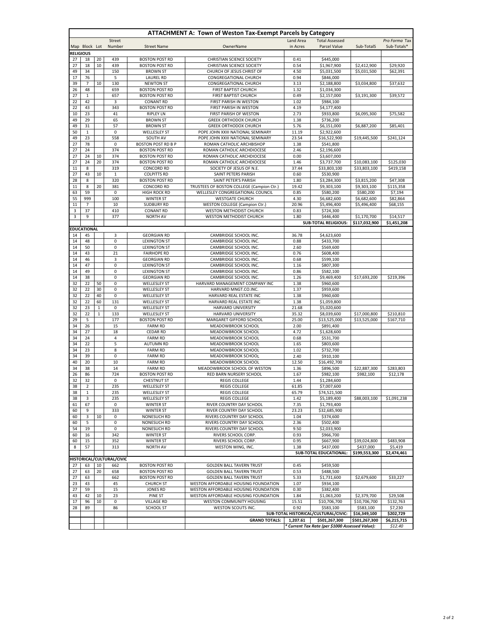| <b>ATTACHMENT A: Town of Weston Tax-Exempt Parcels by Category</b> |                      |                                                      |                           |                                                                                   |                                                                              |               |                                                 |                             |                       |  |
|--------------------------------------------------------------------|----------------------|------------------------------------------------------|---------------------------|-----------------------------------------------------------------------------------|------------------------------------------------------------------------------|---------------|-------------------------------------------------|-----------------------------|-----------------------|--|
|                                                                    |                      |                                                      | Street                    |                                                                                   |                                                                              | Land Area     | <b>Total Assessed</b>                           |                             | Pro Forma Tax         |  |
|                                                                    | Map Block Lot        |                                                      | Number                    | <b>Street Name</b>                                                                | OwnerName                                                                    | in Acres      | Parcel Value                                    | Sub-TotalS                  | Sub-Totals*           |  |
| <b>RELIGIOUS</b><br>27                                             | 18                   | 20                                                   | 439                       | <b>BOSTON POST RD</b>                                                             | <b>CHRISTIAN SCIENCE SOCIETY</b>                                             | 0.41          | \$445,000                                       |                             |                       |  |
| 27                                                                 | 18                   | 10                                                   | 439                       | <b>BOSTON POST RD</b>                                                             | <b>CHRISTIAN SCIENCE SOCIETY</b>                                             | 0.54          | \$1,967,900                                     | \$2,412,900                 | \$29,920              |  |
| 49                                                                 | 34                   |                                                      | 150                       | <b>BROWN ST</b>                                                                   | CHURCH OF JESUS CHRIST OF                                                    | 4.50          | \$5,031,500                                     | \$5,031,500                 | \$62.391              |  |
| 17                                                                 | 76                   |                                                      | 5                         | <b>LAUREL RD</b>                                                                  | <b>CONGREGATIONAL CHURCH</b>                                                 | 0.94          | \$846,000                                       |                             |                       |  |
| 39                                                                 | $\overline{7}$       | 10                                                   | 130                       | <b>NEWTON ST</b>                                                                  | CONGREGATIONAL CHURCH                                                        | 3.13          | \$2,188,800                                     | \$3,034,800                 | \$37,632              |  |
| 26                                                                 | 48                   |                                                      | 659                       | <b>BOSTON POST RD</b>                                                             | FIRST BAPTIST CHURCH                                                         | 1.32          | \$1,034,300                                     |                             |                       |  |
| 27                                                                 | $\mathbf 1$          |                                                      | 657                       | <b>BOSTON POST RD</b>                                                             | <b>FIRST BAPTIST CHURCH</b>                                                  | 0.49          | \$2,157,000                                     | \$3,191,300                 | \$39,572              |  |
| 22<br>22                                                           | 42<br>43             |                                                      | 3<br>343                  | <b>CONANT RD</b><br><b>BOSTON POST RD</b>                                         | FIRST PARISH IN WESTON<br>FIRST PARISH IN WESTON                             | 1.02<br>4.19  | \$984,100<br>\$4,177,400                        |                             |                       |  |
| 10                                                                 | 23                   |                                                      | 41                        | <b>RIPLEY LN</b>                                                                  | FIRST PARISH OF WESTON                                                       | 2.73          | \$933,800                                       | \$6,095,300                 | \$75,582              |  |
| 49                                                                 | 29                   |                                                      | 65                        | <b>BROWN ST</b>                                                                   | <b>GREEK ORTHODOX CHURCH</b>                                                 | 1.38          | \$736,200                                       |                             |                       |  |
| 49                                                                 | 31                   |                                                      | 57                        | <b>BROWN ST</b>                                                                   | <b>GREEK ORTHODOX CHURCH</b>                                                 | 5.76          | \$6,151,000                                     | \$6,887,200                 | \$85,401              |  |
| 50                                                                 | $\mathbf{1}$         |                                                      | 0                         | <b>WELLESLEY ST</b>                                                               | POPE JOHN XXIII NATIONAL SEMINARY                                            | 11.19         | \$2,922,600                                     |                             |                       |  |
| 49                                                                 | 23                   |                                                      | 558                       | SOUTH AV                                                                          | POPE JOHN XXIII NATIONAL SEMINARY                                            | 23.54         | \$16,522,900                                    | \$19,445,500                | \$241,124             |  |
| 27                                                                 | 78                   |                                                      | $\pmb{0}$                 | <b>BOSTON POST RD B P</b>                                                         | ROMAN CATHOLIC ARCHBISHOP                                                    | 1.38          | \$541,800                                       |                             |                       |  |
| 27<br>27                                                           | 24<br>24             | 10                                                   | 374<br>374                | <b>BOSTON POST RD</b><br><b>BOSTON POST RD</b>                                    | ROMAN CATHOLIC ARCHDIOCESE<br>ROMAN CATHOLIC ARCHDIOCESE                     | 2.46<br>0.00  | \$2,196,600<br>\$3,607,000                      |                             |                       |  |
| 27                                                                 | 24                   | 20                                                   | 374                       | <b>BOSTON POST RD</b>                                                             | ROMAN CATHOLIC ARCHDIOCESE                                                   | 1.46          | \$3,737,700                                     | \$10,083,100                | \$125,030             |  |
| 11                                                                 | 8                    |                                                      | 319                       | <b>CONCORD RD</b>                                                                 | SOCIETY OF JESUS OF N.E.                                                     | 37.44         | \$33,803,100                                    | \$33,803,100                | \$419,158             |  |
| 27                                                                 | 43                   | 10                                                   | 1                         | <b>COLPITTS RD</b>                                                                | SAINT PETERS PARISH                                                          | 0.60          | \$530,900                                       |                             |                       |  |
| 28                                                                 | 8                    |                                                      | 320                       | <b>BOSTON POST RD</b>                                                             | SAINT PETER'S PARISH                                                         | 1.80          | \$3,284,300                                     | \$3,815,200                 | \$47,308              |  |
| 11                                                                 | 8                    | 20                                                   | 381                       | <b>CONCORD RD</b>                                                                 | TRUSTEES OF BOSTON COLLEGE (Campion Ctr.)                                    | 19.42         | \$9,303,100                                     | $\overline{59}$ , 303, 100  | \$115,358             |  |
| 63                                                                 | 59                   |                                                      | 0                         | <b>HIGH ROCK RD</b>                                                               | WELLESLEY CONGREGATIONAL COUNCIL                                             | 0.85          | \$580,200                                       | \$580,200                   | \$7,194               |  |
| 55                                                                 | 999                  |                                                      | 100                       | <b>WINTER ST</b>                                                                  | <b>WESTGATE CHURCH</b>                                                       | 4.30          | \$6,682,600                                     | \$6,682,600                 | \$82,864              |  |
| 11<br>3                                                            | $\overline{7}$<br>37 |                                                      | 10<br>410                 | <b>SUDBURY RD</b><br><b>CONANT RD</b>                                             | <b>WESTON COLLEGE (Campion Ctr.)</b><br>WESTON METHODIST CHURCH              | 20.96<br>0.83 | \$5,496,400<br>\$724,300                        | \$5,496,400                 | \$68,155              |  |
| 3                                                                  | 9                    |                                                      | 377                       | <b>NORTH AV</b>                                                                   | WESTON METHODIST CHURCH                                                      | 1.80          | \$446,400                                       | \$1,170,700                 | \$14,517              |  |
|                                                                    |                      |                                                      |                           |                                                                                   |                                                                              |               | <b>SUB-TOTAL RELIGIOUS:</b>                     | \$117,032,900               | \$1,451,208           |  |
|                                                                    | <b>EDUCATIONAL</b>   |                                                      |                           |                                                                                   |                                                                              |               |                                                 |                             |                       |  |
| 14                                                                 | 45                   |                                                      | 3                         | <b>GEORGIAN RD</b>                                                                | CAMBRIDGE SCHOOL INC.                                                        | 36.78         | \$4,623,600                                     |                             |                       |  |
| 14                                                                 | 48                   |                                                      | 0                         | <b>LEXINGTON ST</b>                                                               | CAMBRIDGE SCHOOL INC.                                                        | 0.88          | \$433,700                                       |                             |                       |  |
| 14                                                                 | 50                   |                                                      | 0                         | <b>LEXINGTON ST</b>                                                               | CAMBRIDGE SCHOOL INC.                                                        | 2.60          | \$569,600                                       |                             |                       |  |
| 14                                                                 | 43                   |                                                      | 21                        | <b>FAIRHOPE RD</b>                                                                | CAMBRIDGE SCHOOL INC.                                                        | 0.76          | \$608,400                                       |                             |                       |  |
| 14                                                                 | 46                   |                                                      | 3                         | <b>GEORGIAN RD</b>                                                                | CAMBRIDGE SCHOOL INC.                                                        | 0.68          | \$599,100                                       |                             |                       |  |
| 14<br>14                                                           | 47<br>49             |                                                      | 0<br>0                    | <b>LEXINGTON ST</b><br><b>LEXINGTON ST</b>                                        | CAMBRIDGE SCHOOL INC.<br>CAMBRIDGE SCHOOL INC.                               | 1.16<br>0.86  | \$807,300<br>\$582,100                          |                             |                       |  |
| 14                                                                 | 38                   |                                                      | 0                         | <b>GEORGIAN RD</b>                                                                | CAMBRIDGE SCHOOL INC.                                                        | 1.26          | \$9,469,400                                     | \$17,693,200                | \$219,396             |  |
| 32                                                                 | 22                   | 50                                                   | $\pmb{0}$                 | <b>WELLESLEY ST</b>                                                               | HARVARD MANAGEMENT COMPANY INC                                               | 1.38          | \$960,600                                       |                             |                       |  |
| 32                                                                 | 22                   | 30                                                   | 0                         | <b>WELLESLEY ST</b>                                                               | HARVARD MNGT.CO.INC.                                                         | 1.37          | \$959,600                                       |                             |                       |  |
| 32                                                                 | 22                   | 40                                                   | 0                         | <b>WELLESLEY ST</b>                                                               | HARVARD REAL ESTATE INC                                                      | 1.38          | \$960,600                                       |                             |                       |  |
| 32                                                                 | 22                   | 60                                                   | 131                       | <b>WELLESLEY ST</b>                                                               | HARVARD REAL ESTATE INC                                                      | 1.38          | \$1,059,800                                     |                             |                       |  |
| 32                                                                 | 23                   | $\mathbf{1}$                                         | 0                         | <b>WELLESLEY ST</b>                                                               | <b>HARVARD UNIVERSITY</b>                                                    | 21.68         | \$5,020,600                                     |                             |                       |  |
| 32                                                                 | 22                   | $\mathbf{1}$                                         | 133                       | <b>WELLESLEY ST</b>                                                               | <b>HARVARD UNIVERSITY</b>                                                    | 35.32         | \$8,039,600                                     | \$17,000,800                | \$210,810             |  |
| 29<br>34                                                           | 5<br>26              |                                                      | 177<br>15                 | <b>BOSTON POST RD</b><br><b>FARM RD</b>                                           | MARGARET GIFFORD SCHOOL<br>MEADOWBROOK SCHOOL                                | 25.00<br>2.00 | \$13,525,000<br>\$891,400                       | \$13,525,000                | \$167,710             |  |
| 34                                                                 | 27                   |                                                      | 18                        | <b>CEDAR RD</b>                                                                   | MEADOWBROOK SCHOOL                                                           | 4.72          | \$1,628,600                                     |                             |                       |  |
| 34                                                                 | 24                   |                                                      | 4                         | <b>FARM RD</b>                                                                    | MEADOWBROOK SCHOOL                                                           | 0.68          | \$531,700                                       |                             |                       |  |
| 34                                                                 | 22                   |                                                      | 5                         | <b>AUTUMN RD</b>                                                                  | MEADOWBROOK SCHOOL                                                           | 1.65          | \$803,600                                       |                             |                       |  |
| 34                                                                 | 23                   |                                                      | 8                         | <b>FARM RD</b>                                                                    | MEADOWBROOK SCHOOL                                                           | 1.02          | \$732,700                                       |                             |                       |  |
| 34                                                                 | 39                   |                                                      | 0                         | <b>FARM RD</b>                                                                    | MEADOWBROOK SCHOOL                                                           | 2.40          | \$910,100                                       |                             |                       |  |
| 40                                                                 | 20                   |                                                      | 10                        | <b>FARM RD</b>                                                                    | MEADOWBROOK SCHOOL                                                           | 12.50         | \$16,492,700                                    |                             |                       |  |
| 34                                                                 | 38                   |                                                      | 14                        | <b>FARM RD</b>                                                                    | MEADOWBROOK SCHOOL OF WESTON                                                 | 1.36          | \$896,500                                       | \$22,887,300                | \$283,803             |  |
| 26<br>32                                                           | 86<br>32             |                                                      | 724<br>$\Omega$           | <b>BOSTON POST RD</b><br><b>CHESTNUT ST</b>                                       | RED BARN NURSERY SCHOOL<br><b>REGIS COLLEGE</b>                              | 1.67<br>1.44  | \$982,100<br>\$1,284,600                        | \$982,100                   | \$12,178              |  |
| 38                                                                 | $\overline{2}$       |                                                      | 235                       | <b>WELLESLEY ST</b>                                                               | <b>REGIS COLLEGE</b>                                                         | 61.85         | \$7,007,600                                     |                             |                       |  |
| 38                                                                 | $\mathbf 1$          |                                                      | 235                       | <b>WELLESLEY ST</b>                                                               | <b>REGIS COLLEGE</b>                                                         | 65.79         | \$74,521,500                                    |                             |                       |  |
| 38                                                                 | 3                    |                                                      | 235                       | <b>WELLESLEY ST</b>                                                               | <b>REGIS COLLEGE</b>                                                         | 1.42          | \$5,189,400                                     | \$88,003,100                | \$1,091,238           |  |
| 61                                                                 | 67                   |                                                      | 0                         | <b>WINTER ST</b>                                                                  | RIVER COUNTRY DAY SCHOOL                                                     | 7.35          | \$1,793,400                                     |                             |                       |  |
| 60                                                                 | 9                    |                                                      | 333                       | <b>WINTER ST</b>                                                                  | RIVER COUNTRY DAY SCHOOL                                                     | 23.23         | \$32,685,900                                    |                             |                       |  |
| 60                                                                 | 3                    | 10                                                   | 0                         | NONESUCH RD                                                                       | RIVERS COUNTRY DAY SCHOOL                                                    | 1.04          | \$374,600                                       |                             |                       |  |
| 60                                                                 | 5                    |                                                      | 0                         | <b>NONESUCH RD</b>                                                                | RIVERS COUNTRY DAY SCHOOL                                                    | 2.36          | \$502,400                                       |                             |                       |  |
| 54<br>60                                                           | 19<br>16             |                                                      | 0<br>342                  | NONESUCH RD<br><b>WINTER ST</b>                                                   | RIVERS COUNTRY DAY SCHOOL<br>RIVERS SCHOOL CORP.                             | 9.50<br>0.93  | \$2,033,900<br>\$966,700                        |                             |                       |  |
| 60                                                                 | 15                   |                                                      | 352                       | <b>WINTER ST</b>                                                                  | RIVERS SCHOOL CORP.                                                          | 0.95          | \$667,900                                       | \$39,024,800                | \$483,908             |  |
| 8                                                                  | 57                   |                                                      | 313                       | <b>NORTH AV</b>                                                                   | WESTON WING, INC.                                                            | 1.38          | \$437,000                                       | \$437,000                   | \$5,419               |  |
|                                                                    |                      |                                                      |                           |                                                                                   |                                                                              |               | <b>SUB-TOTAL EDUCATIONAL:</b>                   | \$199,553,300               | \$2,474,461           |  |
|                                                                    |                      |                                                      | HISTORICAL/CULTURAL/CIVIC |                                                                                   |                                                                              |               |                                                 |                             |                       |  |
| 27                                                                 | 63                   | 10                                                   | 662                       | <b>BOSTON POST RD</b>                                                             | <b>GOLDEN BALL TAVERN TRUST</b>                                              | 0.45          | \$459,500                                       |                             |                       |  |
| 27                                                                 | 63                   | 20                                                   | 658                       | <b>BOSTON POST RD</b>                                                             | <b>GOLDEN BALL TAVERN TRUST</b>                                              | 0.53          | \$488,500                                       |                             |                       |  |
| 27                                                                 | 63                   |                                                      | 662                       | <b>BOSTON POST RD</b>                                                             | <b>GOLDEN BALL TAVERN TRUST</b>                                              | 5.33          | \$1,731,600                                     | \$2,679,600                 | \$33,227              |  |
| 23                                                                 | 43                   |                                                      | 45                        | <b>CHURCH ST</b>                                                                  | WESTON AFFORDABLE HOUSING FOUNDATION                                         | 1.07          | \$934,100                                       |                             |                       |  |
| 27                                                                 | 59                   |                                                      | 15                        | <b>JONES RD</b>                                                                   | WESTON AFFORDABLE HOUSING FOUNDATION<br>WESTON AFFORDABLE HOUSING FOUNDATION | 0.30<br>1.84  | \$382,400                                       |                             |                       |  |
| 43<br>17                                                           | 42<br>96             | 10<br>10                                             | 23<br>0                   | PINE ST<br><b>VILLAGE RD</b>                                                      | WESTON COMMUNITY HOUSING                                                     | 15.51         | \$1,063,200<br>\$10,706,700                     | \$2,379,700<br>\$10,706,700 | \$29,508<br>\$132,763 |  |
| 28                                                                 | 89                   |                                                      | 86                        | <b>SCHOOL ST</b>                                                                  | WESTON SCOUTS INC.                                                           | 0.92          | \$583,100                                       | \$583,100                   | \$7,230               |  |
|                                                                    |                      | SUB-TOTAL HISTORICAL/CULTURAL/CIVIC:<br>\$16,349,100 |                           |                                                                                   |                                                                              |               |                                                 | \$202,729                   |                       |  |
|                                                                    |                      |                                                      |                           | <b>GRAND TOTALS:</b><br>1,207.61<br>\$501,267,300<br>\$6,215,715<br>\$501,267,300 |                                                                              |               |                                                 |                             |                       |  |
|                                                                    |                      |                                                      |                           |                                                                                   |                                                                              |               | * Current Tax Rate (per \$1000 Assessed Value): |                             | \$12.40               |  |